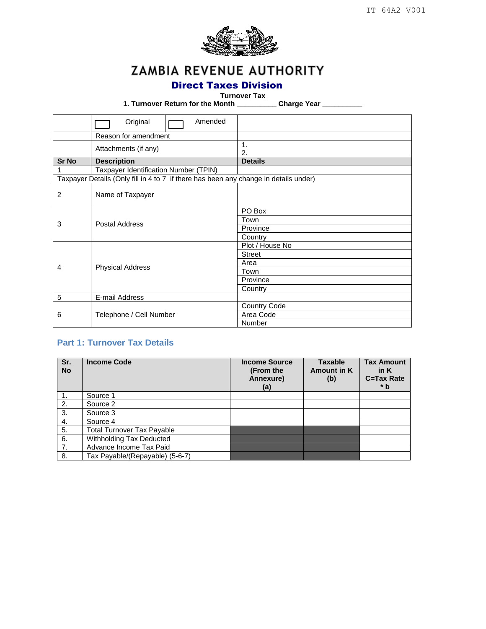

# ZAMBIA REVENUE AUTHORITY

### Direct Taxes Division

#### **Turnover Tax**

**1. Turnover Return for the Month \_\_\_\_\_\_\_\_\_\_ Charge Year \_\_\_\_\_\_\_\_\_\_**

|              | Original<br>Amended                                                                  |                     |  |
|--------------|--------------------------------------------------------------------------------------|---------------------|--|
|              | Reason for amendment                                                                 |                     |  |
|              | Attachments (if any)                                                                 | 1.<br>2.            |  |
| <b>Sr No</b> | <b>Description</b>                                                                   | <b>Details</b>      |  |
|              | Taxpayer Identification Number (TPIN)                                                |                     |  |
|              | Taxpayer Details (Only fill in 4 to 7 if there has been any change in details under) |                     |  |
| 2            | Name of Taxpayer                                                                     |                     |  |
|              |                                                                                      | PO Box              |  |
| 3            | Postal Address                                                                       | Town                |  |
|              |                                                                                      | Province            |  |
|              |                                                                                      | Country             |  |
|              |                                                                                      | Plot / House No     |  |
|              |                                                                                      | <b>Street</b>       |  |
| 4            | <b>Physical Address</b>                                                              | Area                |  |
|              |                                                                                      | Town                |  |
|              |                                                                                      | Province            |  |
|              |                                                                                      | Country             |  |
| 5            | E-mail Address                                                                       |                     |  |
|              |                                                                                      | <b>Country Code</b> |  |
| 6            | Telephone / Cell Number                                                              | Area Code           |  |
|              |                                                                                      | Number              |  |

### **Part 1: Turnover Tax Details**

| Sr.<br><b>No</b> | <b>Income Code</b>                | <b>Income Source</b><br>(From the<br>Annexure)<br>(a) | <b>Taxable</b><br><b>Amount in K</b><br>(b) | <b>Tax Amount</b><br>in $K$<br>C=Tax Rate<br>$*b$ |
|------------------|-----------------------------------|-------------------------------------------------------|---------------------------------------------|---------------------------------------------------|
| -1.              | Source 1                          |                                                       |                                             |                                                   |
| 2.               | Source 2                          |                                                       |                                             |                                                   |
| 3.               | Source 3                          |                                                       |                                             |                                                   |
| 4.               | Source 4                          |                                                       |                                             |                                                   |
| 5.               | <b>Total Turnover Tax Payable</b> |                                                       |                                             |                                                   |
| 6.               | Withholding Tax Deducted          |                                                       |                                             |                                                   |
| 7.               | Advance Income Tax Paid           |                                                       |                                             |                                                   |
| 8.               | Tax Payable/(Repayable) (5-6-7)   |                                                       |                                             |                                                   |